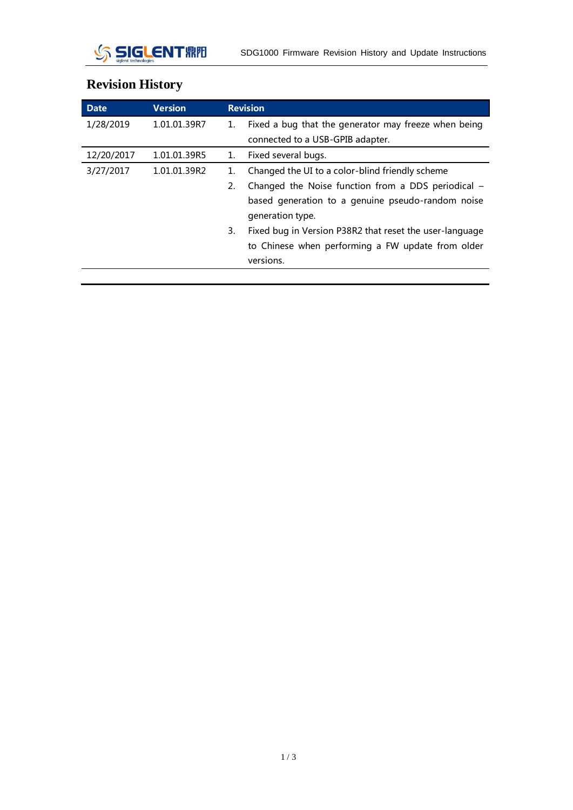

| <b>Date</b> | <b>Version</b> | <b>Revision</b>                                               |
|-------------|----------------|---------------------------------------------------------------|
| 1/28/2019   | 1.01.01.39R7   | Fixed a bug that the generator may freeze when being<br>1.    |
|             |                | connected to a USB-GPIB adapter.                              |
| 12/20/2017  | 1.01.01.39R5   | Fixed several bugs.<br>1.                                     |
| 3/27/2017   | 1.01.01.39R2   | Changed the UI to a color-blind friendly scheme<br>1.         |
|             |                | Changed the Noise function from a DDS periodical -<br>2.      |
|             |                | based generation to a genuine pseudo-random noise             |
|             |                | generation type.                                              |
|             |                | Fixed bug in Version P38R2 that reset the user-language<br>3. |
|             |                | to Chinese when performing a FW update from older             |
|             |                | versions.                                                     |

## **Revision History**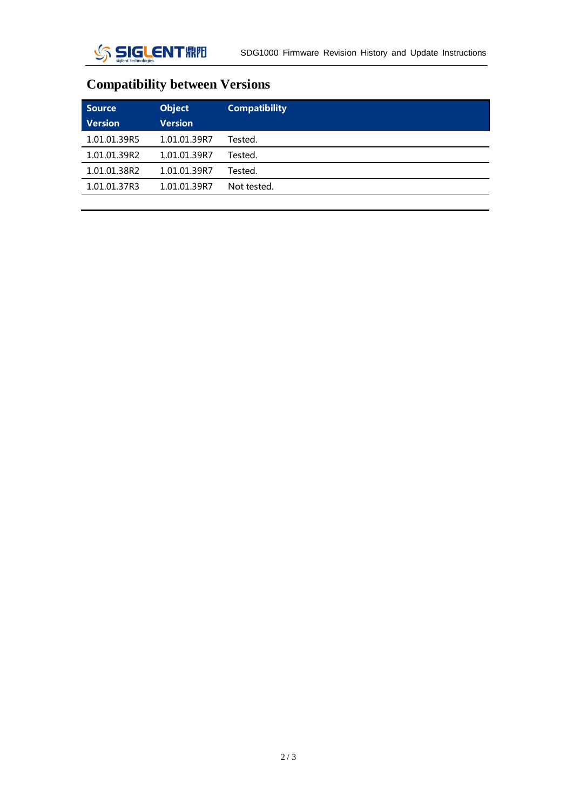## **Compatibility between Versions**

| <b>Source</b><br><b>Version</b> | <b>Object</b><br><b>Version</b> | <b>Compatibility</b> |
|---------------------------------|---------------------------------|----------------------|
| 1.01.01.39R5                    | 1.01.01.39R7                    | Tested.              |
| 1.01.01.39R2                    | 1.01.01.39R7                    | Tested.              |
| 1.01.01.38R2                    | 1.01.01.39R7                    | Tested.              |
| 1.01.01.37R3                    | 1.01.01.39R7                    | Not tested.          |